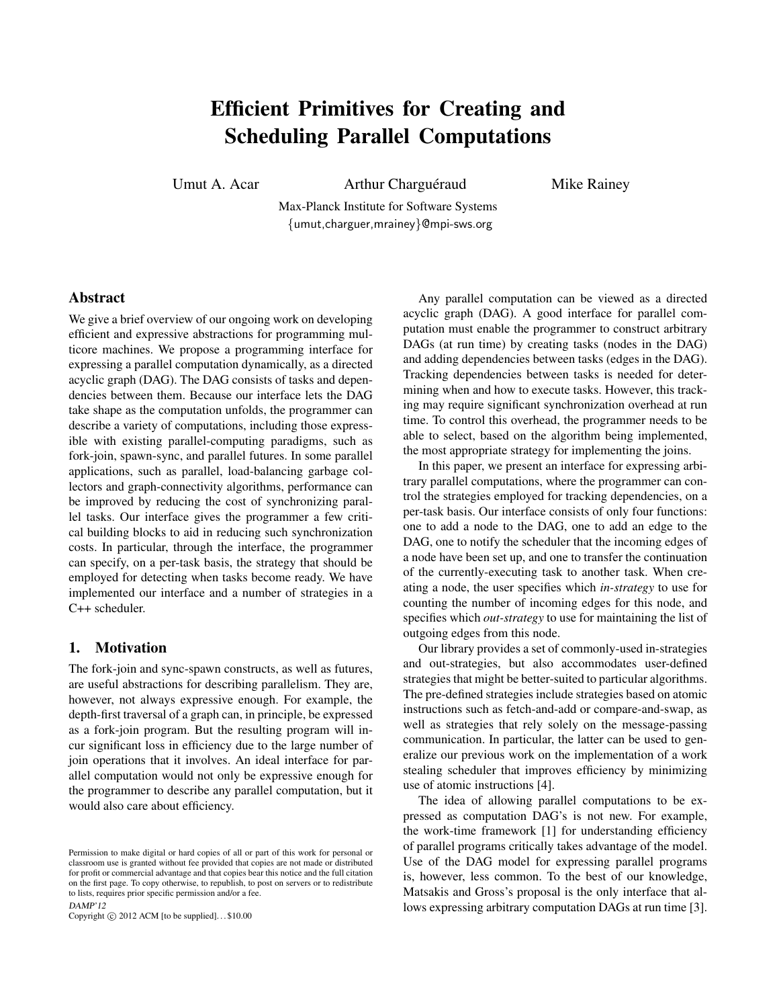# Efficient Primitives for Creating and Scheduling Parallel Computations

Umut A. Acar **Arthur Charguéraud** Mike Rainey

Max-Planck Institute for Software Systems {umut,charguer,mrainey}@mpi-sws.org

#### Abstract

We give a brief overview of our ongoing work on developing efficient and expressive abstractions for programming multicore machines. We propose a programming interface for expressing a parallel computation dynamically, as a directed acyclic graph (DAG). The DAG consists of tasks and dependencies between them. Because our interface lets the DAG take shape as the computation unfolds, the programmer can describe a variety of computations, including those expressible with existing parallel-computing paradigms, such as fork-join, spawn-sync, and parallel futures. In some parallel applications, such as parallel, load-balancing garbage collectors and graph-connectivity algorithms, performance can be improved by reducing the cost of synchronizing parallel tasks. Our interface gives the programmer a few critical building blocks to aid in reducing such synchronization costs. In particular, through the interface, the programmer can specify, on a per-task basis, the strategy that should be employed for detecting when tasks become ready. We have implemented our interface and a number of strategies in a C++ scheduler.

## 1. Motivation

The fork-join and sync-spawn constructs, as well as futures, are useful abstractions for describing parallelism. They are, however, not always expressive enough. For example, the depth-first traversal of a graph can, in principle, be expressed as a fork-join program. But the resulting program will incur significant loss in efficiency due to the large number of join operations that it involves. An ideal interface for parallel computation would not only be expressive enough for the programmer to describe any parallel computation, but it would also care about efficiency.

Copyright  $\odot$  2012 ACM [to be supplied]...\$10.00

Any parallel computation can be viewed as a directed acyclic graph (DAG). A good interface for parallel computation must enable the programmer to construct arbitrary DAGs (at run time) by creating tasks (nodes in the DAG) and adding dependencies between tasks (edges in the DAG). Tracking dependencies between tasks is needed for determining when and how to execute tasks. However, this tracking may require significant synchronization overhead at run time. To control this overhead, the programmer needs to be able to select, based on the algorithm being implemented, the most appropriate strategy for implementing the joins.

In this paper, we present an interface for expressing arbitrary parallel computations, where the programmer can control the strategies employed for tracking dependencies, on a per-task basis. Our interface consists of only four functions: one to add a node to the DAG, one to add an edge to the DAG, one to notify the scheduler that the incoming edges of a node have been set up, and one to transfer the continuation of the currently-executing task to another task. When creating a node, the user specifies which *in-strategy* to use for counting the number of incoming edges for this node, and specifies which *out-strategy* to use for maintaining the list of outgoing edges from this node.

Our library provides a set of commonly-used in-strategies and out-strategies, but also accommodates user-defined strategies that might be better-suited to particular algorithms. The pre-defined strategies include strategies based on atomic instructions such as fetch-and-add or compare-and-swap, as well as strategies that rely solely on the message-passing communication. In particular, the latter can be used to generalize our previous work on the implementation of a work stealing scheduler that improves efficiency by minimizing use of atomic instructions [4].

The idea of allowing parallel computations to be expressed as computation DAG's is not new. For example, the work-time framework [1] for understanding efficiency of parallel programs critically takes advantage of the model. Use of the DAG model for expressing parallel programs is, however, less common. To the best of our knowledge, Matsakis and Gross's proposal is the only interface that allows expressing arbitrary computation DAGs at run time [3].

Permission to make digital or hard copies of all or part of this work for personal or classroom use is granted without fee provided that copies are not made or distributed for profit or commercial advantage and that copies bear this notice and the full citation on the first page. To copy otherwise, to republish, to post on servers or to redistribute to lists, requires prior specific permission and/or a fee. DAMP'12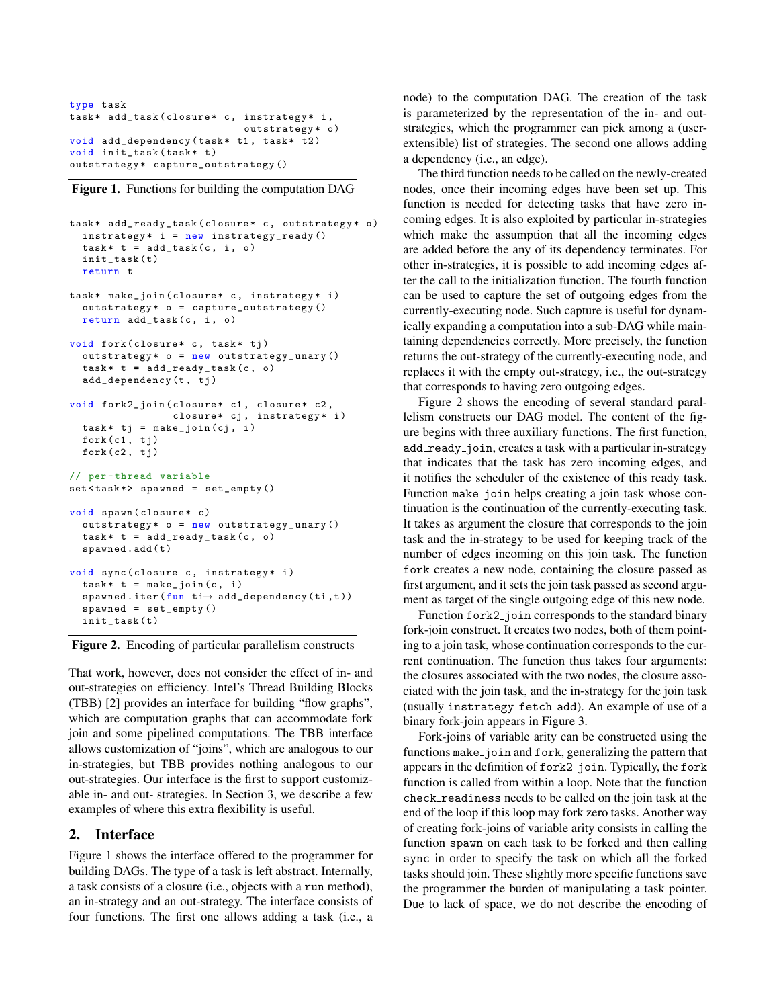```
type task
task* add_task(closure* c, instrategy* i,
                            outstrategy * o)
void add_dependency (task* t1, task* t2)
void init_task (task* t)
outstrategy * capture_outstrategy ()
```
Figure 1. Functions for building the computation DAG

```
task* add_ready_task(closure* c, outstrategy* o)
  instrategy* i = new instrategy\_ready()task * t = add\_task(c, i, o)init_task ( t)
  return t
task* make_join (closure* c, instrategy* i)
  outstrategy * o = capture_outstrategy ()
  return add\_task(c, i, o)void fork (closure* c, task* tj)
  outstrategy * o = new outstrategy_name()task * t = add\_ready\_task(c, o)add_dependency (t, tj)
void fork2_join ( closure* c1, closure* c2,
                 closure* cj, instrategy* i)
  task* tj = make_join(cj, i)
  fork (c1 , tj )
  fork(c2, tj)// per - thread variable
set < task *> spawned = set_empty()
void spawn (closure* c)
  outstrategy * o = new outstrategy_name()task * t = add\_ready\_task(c, o)spawned . add (t)
void sync (closure c, instrategy* i)
  task * t = make\_join(c, i)spanned.iter (fun ti\rightarrow add\_dependency (ti, t))spawned = set_{empty()init_task ( t)
```
Figure 2. Encoding of particular parallelism constructs

That work, however, does not consider the effect of in- and out-strategies on efficiency. Intel's Thread Building Blocks (TBB) [2] provides an interface for building "flow graphs", which are computation graphs that can accommodate fork join and some pipelined computations. The TBB interface allows customization of "joins", which are analogous to our in-strategies, but TBB provides nothing analogous to our out-strategies. Our interface is the first to support customizable in- and out- strategies. In Section 3, we describe a few examples of where this extra flexibility is useful.

## 2. Interface

Figure 1 shows the interface offered to the programmer for building DAGs. The type of a task is left abstract. Internally, a task consists of a closure (i.e., objects with a run method), an in-strategy and an out-strategy. The interface consists of four functions. The first one allows adding a task (i.e., a node) to the computation DAG. The creation of the task is parameterized by the representation of the in- and outstrategies, which the programmer can pick among a (userextensible) list of strategies. The second one allows adding a dependency (i.e., an edge).

The third function needs to be called on the newly-created nodes, once their incoming edges have been set up. This function is needed for detecting tasks that have zero incoming edges. It is also exploited by particular in-strategies which make the assumption that all the incoming edges are added before the any of its dependency terminates. For other in-strategies, it is possible to add incoming edges after the call to the initialization function. The fourth function can be used to capture the set of outgoing edges from the currently-executing node. Such capture is useful for dynamically expanding a computation into a sub-DAG while maintaining dependencies correctly. More precisely, the function returns the out-strategy of the currently-executing node, and replaces it with the empty out-strategy, i.e., the out-strategy that corresponds to having zero outgoing edges.

Figure 2 shows the encoding of several standard parallelism constructs our DAG model. The content of the figure begins with three auxiliary functions. The first function, add ready join, creates a task with a particular in-strategy that indicates that the task has zero incoming edges, and it notifies the scheduler of the existence of this ready task. Function make join helps creating a join task whose continuation is the continuation of the currently-executing task. It takes as argument the closure that corresponds to the join task and the in-strategy to be used for keeping track of the number of edges incoming on this join task. The function fork creates a new node, containing the closure passed as first argument, and it sets the join task passed as second argument as target of the single outgoing edge of this new node.

Function fork2\_join corresponds to the standard binary fork-join construct. It creates two nodes, both of them pointing to a join task, whose continuation corresponds to the current continuation. The function thus takes four arguments: the closures associated with the two nodes, the closure associated with the join task, and the in-strategy for the join task (usually instrategy fetch add). An example of use of a binary fork-join appears in Figure 3.

Fork-joins of variable arity can be constructed using the functions make join and fork, generalizing the pattern that appears in the definition of fork2 join. Typically, the fork function is called from within a loop. Note that the function check readiness needs to be called on the join task at the end of the loop if this loop may fork zero tasks. Another way of creating fork-joins of variable arity consists in calling the function spawn on each task to be forked and then calling sync in order to specify the task on which all the forked tasks should join. These slightly more specific functions save the programmer the burden of manipulating a task pointer. Due to lack of space, we do not describe the encoding of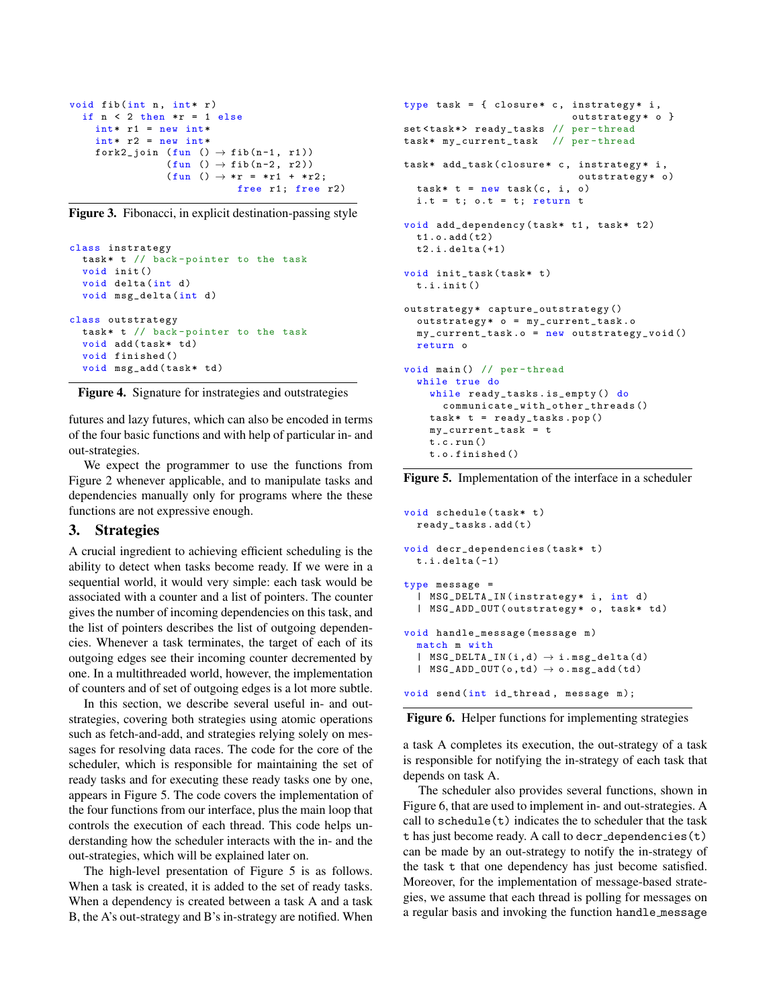```
void fib (int n, int * r)if n < 2 then *r = 1 else
     \text{int} * \text{r1} = \text{new int} *\texttt{int} * \texttt{r2} = \texttt{new int*}fork2_join (fun () \rightarrow fib(n-1, r1))
                     (fun () \rightarrow fib(n-2, r2))({\text{fun}})( ) \to *r = *r1 + *r2;free r1; free r2)
```
Figure 3. Fibonacci, in explicit destination-passing style

```
class instrategy
  task* t // back-pointer to the task
  void init ()
  void delta (int d)
  void msg_delta ( int d)
class outstrategy
  task* t // back-pointer to the task
  void add (task* td)
  void finished ()
  void msg_add (task* td)
```
Figure 4. Signature for instrategies and outstrategies

futures and lazy futures, which can also be encoded in terms of the four basic functions and with help of particular in- and out-strategies.

We expect the programmer to use the functions from Figure 2 whenever applicable, and to manipulate tasks and dependencies manually only for programs where the these functions are not expressive enough.

#### 3. Strategies

A crucial ingredient to achieving efficient scheduling is the ability to detect when tasks become ready. If we were in a sequential world, it would very simple: each task would be associated with a counter and a list of pointers. The counter gives the number of incoming dependencies on this task, and the list of pointers describes the list of outgoing dependencies. Whenever a task terminates, the target of each of its outgoing edges see their incoming counter decremented by one. In a multithreaded world, however, the implementation of counters and of set of outgoing edges is a lot more subtle.

In this section, we describe several useful in- and outstrategies, covering both strategies using atomic operations such as fetch-and-add, and strategies relying solely on messages for resolving data races. The code for the core of the scheduler, which is responsible for maintaining the set of ready tasks and for executing these ready tasks one by one, appears in Figure 5. The code covers the implementation of the four functions from our interface, plus the main loop that controls the execution of each thread. This code helps understanding how the scheduler interacts with the in- and the out-strategies, which will be explained later on.

The high-level presentation of Figure 5 is as follows. When a task is created, it is added to the set of ready tasks. When a dependency is created between a task A and a task B, the A's out-strategy and B's in-strategy are notified. When

```
type task = { closure* c, instrategy* i,
                           outstrategy* o }
set<task*> ready_tasks // per-thread
task* my_current_task // per-thread
task* add_task(closure* c, instrategy* i,
                            outstrategy * o)
  task * t = new task(c, i, o)i.t = t; o.t = t; return tvoid add_dependency (task* t1, task* t2)
  t1.o.add(t2)t2 .i. delta (+1)
void init_task (task* t)
  t.i . init ()
outstrategy* capture_outstrategy()
  outstrategy * o = my_current_task .o
  my_current_task .o = new outstrategy_void ()
  return o
void main () // per-thread
  while true do
    while ready_tasks . is_empty () do
      communicate_with_other_threads ()
    task * t = ready\_tasks.pop()my_current_task = t
    t.c. run()t.o . finished ()
```
Figure 5. Implementation of the interface in a scheduler

```
void schedule (task* t)
  ready_tasks . add (t)
void decr_dependencies (task* t)
  t.i . delta ( -1)
type message =
  | MSG_DELTA_IN(instrategy* i, int d)
  | MSG_ADD_OUT ( outstrategy * o, task * td)
void handle_message ( message m)
  match m with
  | MSG_DELTA_IN(i,d) \rightarrow i.msg_delta(d)
  | MSG_ADD_OUT(o, td) \rightarrow o.msg\_add(td)void send (int id_thread, message m);
```
Figure 6. Helper functions for implementing strategies

a task A completes its execution, the out-strategy of a task is responsible for notifying the in-strategy of each task that depends on task A.

The scheduler also provides several functions, shown in Figure 6, that are used to implement in- and out-strategies. A call to schedule(t) indicates the to scheduler that the task  $t$  has just become ready. A call to decr\_dependencies $(t)$ can be made by an out-strategy to notify the in-strategy of the task t that one dependency has just become satisfied. Moreover, for the implementation of message-based strategies, we assume that each thread is polling for messages on a regular basis and invoking the function handle message